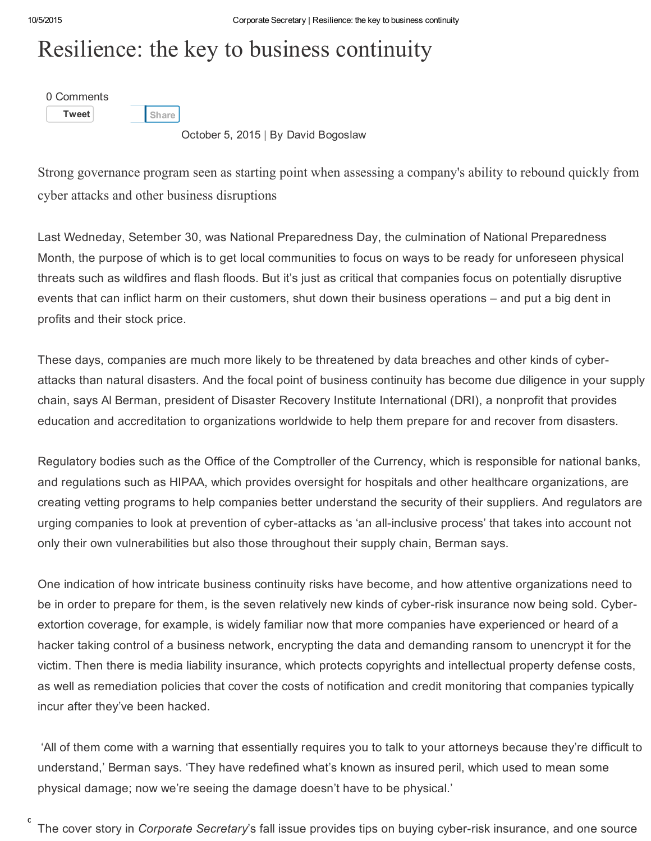## Resilience: the key to business continuity

0 [Comments](http://www.corporatesecretary.com/articles/corporate-secretary-week/13008/resilience-key-business-continuity/#comments)

[Tweet](https://twitter.com/share)

**[Share](javascript:void(0);)** 

October 5, 2015 | By David Bogoslaw

Strong governance program seen as starting point when assessing a company's ability to rebound quickly from cyber attacks and other business disruptions

Last Wedneday, Setember 30, was National Preparedness Day, the culmination of National Preparedness Month, the purpose of which is to get local communities to focus on ways to be ready for unforeseen physical threats such as wildfires and flash floods. But it's just as critical that companies focus on potentially disruptive events that can inflict harm on their customers, shut down their business operations – and put a big dent in profits and their stock price.

These days, companies are much more likely to be threatened by data breaches and other kinds of cyberattacks than natural disasters. And the focal point of business continuity has become due diligence in your supply chain, says Al Berman, president of Disaster Recovery Institute International (DRI), a nonprofit that provides education and accreditation to organizations worldwide to help them prepare for and recover from disasters.

Regulatory bodies such as the Office of the Comptroller of the Currency, which is responsible for national banks, and regulations such as HIPAA, which provides oversight for hospitals and other healthcare organizations, are creating vetting programs to help companies better understand the security of their suppliers. And regulators are urging companies to look at prevention of cyber-attacks as 'an all-inclusive process' that takes into account not only their own vulnerabilities but also those throughout their supply chain, Berman says.

One indication of how intricate business continuity risks have become, and how attentive organizations need to be in order to prepare for them, is the seven relatively new kinds of cyber-risk insurance now being sold. Cyberextortion coverage, for example, is widely familiar now that more companies have experienced or heard of a hacker taking control of a business network, encrypting the data and demanding ransom to unencrypt it for the victim. Then there is media liability insurance, which protects copyrights and intellectual property defense costs, as well as remediation policies that cover the costs of notification and credit monitoring that companies typically incur after they've been hacked.

'All of them come with a warning that essentially requires you to talk to your attorneys because they're difficult to understand,' Berman says. 'They have redefined what's known as insured peril, which used to mean some physical damage; now we're seeing the damage doesn't have to be physical.'

<sup>c</sup> The cover story in *Corporate Secretary*'s fall issue provides tips on buying cyber-risk insurance, and one source